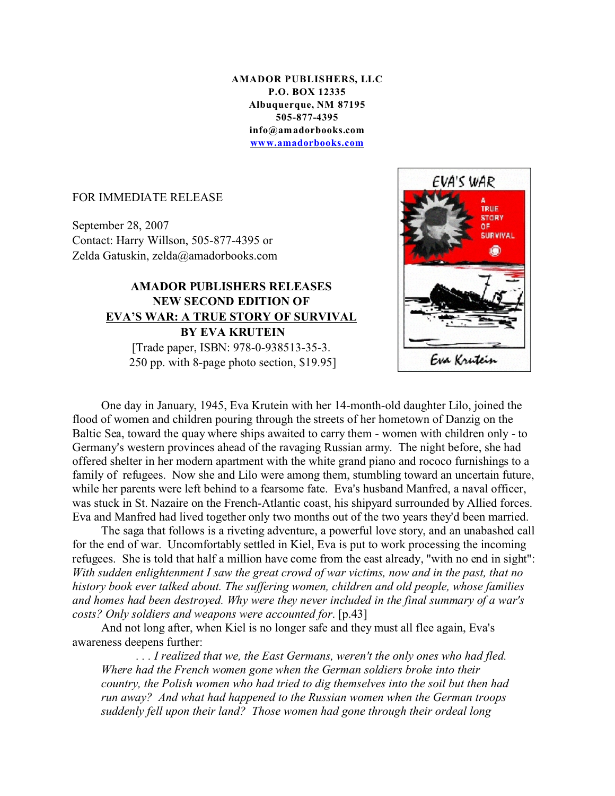**AMADOR PUBLISHERS, LLC P.O. BOX 12335 Albuquerque, NM 87195 505-877-4395 info@amadorbooks.com www.amadorbooks.com**

## FOR IMMEDIATE RELEASE

September 28, 2007 Contact: Harry Willson, 505-877-4395 or Zelda Gatuskin, zelda@amadorbooks.com

## **AMADOR PUBLISHERS RELEASES NEW SECOND EDITION OF EVA'S WAR: A TRUE STORY OF SURVIVAL BY EVA KRUTEIN** [Trade paper, ISBN: 978-0-938513-35-3.

250 pp. with 8-page photo section, \$19.95]



One day in January, 1945, Eva Krutein with her 14-month-old daughter Lilo, joined the flood of women and children pouring through the streets of her hometown of Danzig on the Baltic Sea, toward the quay where ships awaited to carry them - women with children only - to Germany's western provinces ahead of the ravaging Russian army. The night before, she had offered shelter in her modern apartment with the white grand piano and rococo furnishings to a family of refugees. Now she and Lilo were among them, stumbling toward an uncertain future, while her parents were left behind to a fearsome fate. Eva's husband Manfred, a naval officer, was stuck in St. Nazaire on the French-Atlantic coast, his shipyard surrounded by Allied forces. Eva and Manfred had lived together only two months out of the two years they'd been married.

The saga that follows is a riveting adventure, a powerful love story, and an unabashed call for the end of war. Uncomfortably settled in Kiel, Eva is put to work processing the incoming refugees. She is told that half a million have come from the east already, "with no end in sight": *With sudden enlightenment I saw the great crowd of war victims, now and in the past, that no history book ever talked about. The suffering women, children and old people, whose families and homes had been destroyed. Why were they never included in the final summary of a war's costs? Only soldiers and weapons were accounted for*. [p.43]

And not long after, when Kiel is no longer safe and they must all flee again, Eva's awareness deepens further:

 *. . . I realized that we, the East Germans, weren't the only ones who had fled. Where had the French women gone when the German soldiers broke into their country, the Polish women who had tried to dig themselves into the soil but then had run away? And what had happened to the Russian women when the German troops suddenly fell upon their land? Those women had gone through their ordeal long*